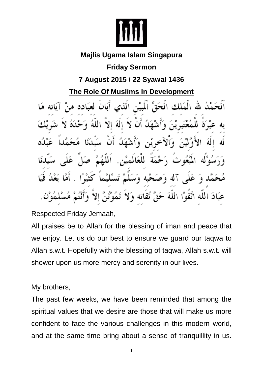

# **Majlis Ugama Islam Singapura**

# **Friday Sermon**

# **7 August 2015 / 22 Syawal 1436**

**The Role Of Muslims In Development**

الْحَقِّ الْمِيْسْ الْذِي أَبَانَ لَعَبَه الملاف á١ للعَ 4) I 4 ه س عَبَادَ اللَّه اتَّقَوْا اللَّهَ

Respected Friday Jemaah,

All praises be to Allah for the blessing of iman and peace that we enjoy. Let us do our best to ensure we guard our taqwa to Allah s.w.t. Hopefully with the blessing of taqwa, Allah s.w.t. will shower upon us more mercy and serenity in our lives.

My brothers,

The past few weeks, we have been reminded that among the spiritual values that we desire are those that will make us more confident to face the various challenges in this modern world, and at the same time bring about a sense of tranquillity in us.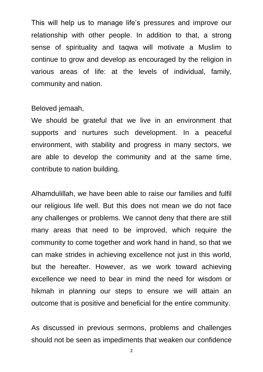This will help us to manage life's pressures and improve our relationship with other people. In addition to that, a strong sense of spirituality and taqwa will motivate a Muslim to continue to grow and develop as encouraged by the religion in various areas of life: at the levels of individual, family, community and nation.

#### Beloved jemaah,

We should be grateful that we live in an environment that supports and nurtures such development. In a peaceful environment, with stability and progress in many sectors, we are able to develop the community and at the same time, contribute to nation building.

Alhamdulillah, we have been able to raise our families and fulfil our religious life well. But this does not mean we do not face any challenges or problems. We cannot deny that there are still many areas that need to be improved, which require the community to come together and work hand in hand, so that we can make strides in achieving excellence not just in this world, but the hereafter. However, as we work toward achieving excellence we need to bear in mind the need for wisdom or hikmah in planning our steps to ensure we will attain an outcome that is positive and beneficial for the entire community.

As discussed in previous sermons, problems and challenges should not be seen as impediments that weaken our confidence

2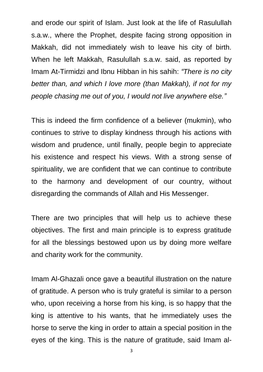and erode our spirit of Islam. Just look at the life of Rasulullah s.a.w., where the Prophet, despite facing strong opposition in Makkah, did not immediately wish to leave his city of birth. When he left Makkah, Rasulullah s.a.w. said, as reported by Imam At-Tirmidzi and Ibnu Hibban in his sahih: *"There is no city better than, and which I love more (than Makkah), if not for my people chasing me out of you, I would not live anywhere else."* 

This is indeed the firm confidence of a believer (mukmin), who continues to strive to display kindness through his actions with wisdom and prudence, until finally, people begin to appreciate his existence and respect his views. With a strong sense of spirituality, we are confident that we can continue to contribute to the harmony and development of our country, without disregarding the commands of Allah and His Messenger.

There are two principles that will help us to achieve these objectives. The first and main principle is to express gratitude for all the blessings bestowed upon us by doing more welfare and charity work for the community.

Imam Al-Ghazali once gave a beautiful illustration on the nature of gratitude. A person who is truly grateful is similar to a person who, upon receiving a horse from his king, is so happy that the king is attentive to his wants, that he immediately uses the horse to serve the king in order to attain a special position in the eyes of the king. This is the nature of gratitude, said Imam al-

3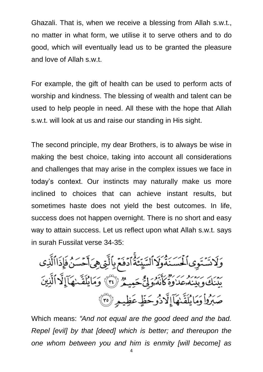Ghazali. That is, when we receive a blessing from Allah s.w.t., no matter in what form, we utilise it to serve others and to do good, which will eventually lead us to be granted the pleasure and love of Allah s.w.t.

For example, the gift of health can be used to perform acts of worship and kindness. The blessing of wealth and talent can be used to help people in need. All these with the hope that Allah s.w.t. will look at us and raise our standing in His sight.

The second principle, my dear Brothers, is to always be wise in making the best choice, taking into account all considerations and challenges that may arise in the complex issues we face in today's context. Our instincts may naturally make us more inclined to choices that can achieve instant results, but sometimes haste does not yield the best outcomes. In life, success does not happen overnight. There is no short and easy way to attain success. Let us reflect upon what Allah s.w.t. says in surah Fussilat verse 34-35:

وَلَاشَنَوِى ٱلْمَسَنَةُوَلَاالسَّيِّئَةُ ٱدْفَعَ بِٱلَّتِى هِىَ أَحْسَنُ فَإِذَاالَّذِى بَيْنَكَ وَبَيْنَهُ عَدَرَهُ كَأَنَّهُ وَلِيُّ حَمِيمٌ (٣) ۚ وَمَا يُلَقَّـنِهَآ إِلَّا ٱلَّذِينَ صَبَرُواْ وَمَا يُلَقَّنِهَآ إِلَّا ذُوحَظٍّ عَظِيمٍ (٣٥)

Which means: *"And not equal are the good deed and the bad. Repel [evil] by that [deed] which is better; and thereupon the one whom between you and him is enmity [will become] as*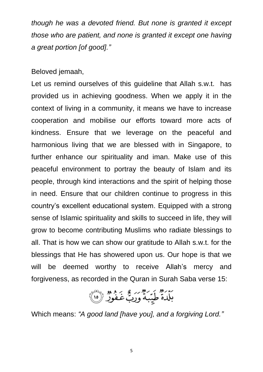*though he was a devoted friend. But none is granted it except those who are patient, and none is granted it except one having a great portion [of good]."*

Beloved jemaah,

Let us remind ourselves of this guideline that Allah s.w.t. has provided us in achieving goodness. When we apply it in the context of living in a community, it means we have to increase cooperation and mobilise our efforts toward more acts of kindness. Ensure that we leverage on the peaceful and harmonious living that we are blessed with in Singapore, to further enhance our spirituality and iman. Make use of this peaceful environment to portray the beauty of Islam and its people, through kind interactions and the spirit of helping those in need. Ensure that our children continue to progress in this country's excellent educational system. Equipped with a strong sense of Islamic spirituality and skills to succeed in life, they will grow to become contributing Muslims who radiate blessings to all. That is how we can show our gratitude to Allah s.w.t. for the blessings that He has showered upon us. Our hope is that we will be deemed worthy to receive Allah's mercy and forgiveness, as recorded in the Quran in Surah Saba verse 15:

بَلْدَةٌ طَيِّبَهُّ وَرَبُّ غَفُورٌ ۞

Which means: *"A good land [have you], and a forgiving Lord."*